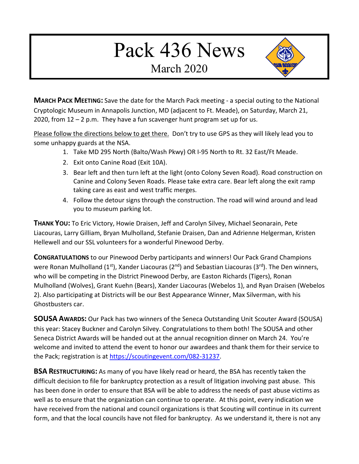## Pack 436 News

March 2020



**MARCH PACK MEETING:** Save the date for the March Pack meeting - a special outing to the National Cryptologic Museum in Annapolis Junction, MD (adjacent to Ft. Meade), on Saturday, March 21, 2020, from  $12 - 2$  p.m. They have a fun scavenger hunt program set up for us.

Please follow the directions below to get there. Don't try to use GPS as they will likely lead you to some unhappy guards at the NSA.

- 1. Take MD 295 North (Balto/Wash Pkwy) OR I-95 North to Rt. 32 East/Ft Meade.
- 2. Exit onto Canine Road (Exit 10A).
- 3. Bear left and then turn left at the light (onto Colony Seven Road). Road construction on Canine and Colony Seven Roads. Please take extra care. Bear left along the exit ramp taking care as east and west traffic merges.
- 4. Follow the detour signs through the construction. The road will wind around and lead you to museum parking lot.

**THANK YOU:** To Eric Victory, Howie Draisen, Jeff and Carolyn Silvey, Michael Seonarain, Pete Liacouras, Larry Gilliam, Bryan Mulholland, Stefanie Draisen, Dan and Adrienne Helgerman, Kristen Hellewell and our SSL volunteers for a wonderful Pinewood Derby.

**CONGRATULATIONS** to our Pinewood Derby participants and winners! Our Pack Grand Champions were Ronan Mulholland (1<sup>st</sup>), Xander Liacouras (2<sup>nd</sup>) and Sebastian Liacouras (3<sup>rd</sup>). The Den winners, who will be competing in the District Pinewood Derby, are Easton Richards (Tigers), Ronan Mulholland (Wolves), Grant Kuehn (Bears), Xander Liacouras (Webelos 1), and Ryan Draisen (Webelos 2). Also participating at Districts will be our Best Appearance Winner, Max Silverman, with his Ghostbusters car.

**SOUSA AWARDS:** Our Pack has two winners of the Seneca Outstanding Unit Scouter Award (SOUSA) this year: Stacey Buckner and Carolyn Silvey. Congratulations to them both! The SOUSA and other Seneca District Awards will be handed out at the annual recognition dinner on March 24. You're welcome and invited to attend the event to honor our awardees and thank them for their service to the Pack; registration is at https://scoutingevent.com/082-31237.

**BSA RESTRUCTURING:** As many of you have likely read or heard, the BSA has recently taken the difficult decision to file for bankruptcy protection as a result of litigation involving past abuse. This has been done in order to ensure that BSA will be able to address the needs of past abuse victims as well as to ensure that the organization can continue to operate. At this point, every indication we have received from the national and council organizations is that Scouting will continue in its current form, and that the local councils have not filed for bankruptcy. As we understand it, there is not any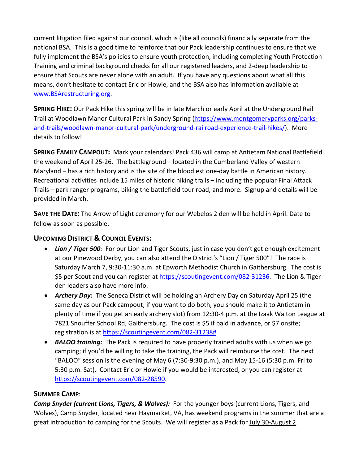current litigation filed against our council, which is (like all councils) financially separate from the national BSA. This is a good time to reinforce that our Pack leadership continues to ensure that we fully implement the BSA's policies to ensure youth protection, including completing Youth Protection Training and criminal background checks for all our registered leaders, and 2-deep leadership to ensure that Scouts are never alone with an adult. If you have any questions about what all this means, don't hesitate to contact Eric or Howie, and the BSA also has information available at www.BSArestructuring.org.

**SPRING HIKE:** Our Pack Hike this spring will be in late March or early April at the Underground Rail Trail at Woodlawn Manor Cultural Park in Sandy Spring [\(https://www.montgomeryparks.org/parks](https://www.montgomeryparks.org/parks-and-trails/woodlawn-manor-cultural-park/underground-railroad-experience-trail-hikes/)[and-trails/woodlawn-manor-cultural-park/underground-railroad-experience-trail-hikes/\)](https://www.montgomeryparks.org/parks-and-trails/woodlawn-manor-cultural-park/underground-railroad-experience-trail-hikes/). More details to follow!

**SPRING FAMILY CAMPOUT:** Mark your calendars! Pack 436 will camp at Antietam National Battlefield the weekend of April 25-26. The battleground – located in the Cumberland Valley of western Maryland – has a rich history and is the site of the bloodiest one-day battle in American history. Recreational activities include 15 miles of historic hiking trails – including the popular Final Attack Trails – park ranger programs, biking the battlefield tour road, and more. Signup and details will be provided in March.

**SAVE THE DATE:** The Arrow of Light ceremony for our Webelos 2 den will be held in April. Date to follow as soon as possible.

## **UPCOMING DISTRICT & COUNCIL EVENTS:**

- Lion / Tiger 500: For our Lion and Tiger Scouts, just in case you don't get enough excitement at our Pinewood Derby, you can also attend the District's "Lion / Tiger 500"! The race is Saturday March 7, 9:30-11:30 a.m. at Epworth Methodist Church in Gaithersburg. The cost is \$5 per Scout and you can register at [https://scoutingevent.com/082-31236.](https://scoutingevent.com/082-31236) The Lion & Tiger den leaders also have more info.
- *Archery Day:* The Seneca District will be holding an Archery Day on Saturday April 25 (the same day as our Pack campout; if you want to do both, you should make it to Antietam in plenty of time if you get an early archery slot) from 12:30-4 p.m. at the Izaak Walton League at 7821 Snouffer School Rd, Gaithersburg. The cost is \$5 if paid in advance, or \$7 onsite; registration is at [https://scoutingevent.com/082-31238#](https://scoutingevent.com/082-31238)
- *BALOO training:* The Pack is required to have properly trained adults with us when we go camping; if you'd be willing to take the training, the Pack will reimburse the cost. The next "BALOO" session is the evening of May 6 (7:30-9:30 p.m.), and May 15-16 (5:30 p.m. Fri to 5:30 p.m. Sat). Contact Eric or Howie if you would be interested, or you can register at [https://scoutingevent.com/082-28590.](https://scoutingevent.com/082-28590)

## **SUMMER CAMP**:

*Camp Snyder (current Lions, Tigers, & Wolves):* For the younger boys (current Lions, Tigers, and Wolves), Camp Snyder, located near Haymarket, VA, has weekend programs in the summer that are a great introduction to camping for the Scouts. We will register as a Pack for July 30-August 2.